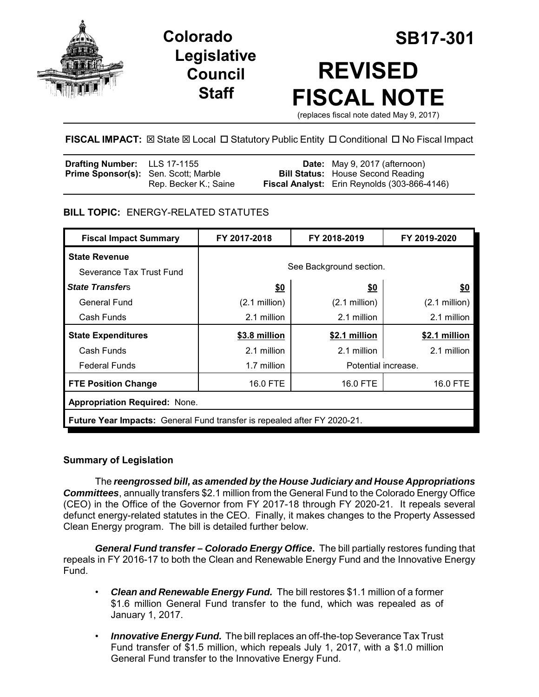

**Legislative Council Staff**

# **Colorado SB17-301 REVISED FISCAL NOTE**

(replaces fiscal note dated May 9, 2017)

# **FISCAL IMPACT:** ⊠ State ⊠ Local □ Statutory Public Entity □ Conditional □ No Fiscal Impact

| <b>Drafting Number:</b> LLS 17-1155         |                       | <b>Date:</b> May 9, 2017 (afternoon)         |
|---------------------------------------------|-----------------------|----------------------------------------------|
| <b>Prime Sponsor(s):</b> Sen. Scott; Marble |                       | <b>Bill Status:</b> House Second Reading     |
|                                             | Rep. Becker K.; Saine | Fiscal Analyst: Erin Reynolds (303-866-4146) |

# **BILL TOPIC:** ENERGY-RELATED STATUTES

| <b>Fiscal Impact Summary</b>                                                    | FY 2017-2018            | FY 2018-2019    | FY 2019-2020            |  |  |
|---------------------------------------------------------------------------------|-------------------------|-----------------|-------------------------|--|--|
| <b>State Revenue</b>                                                            |                         |                 |                         |  |  |
| Severance Tax Trust Fund                                                        | See Background section. |                 |                         |  |  |
| <b>State Transfers</b>                                                          | \$0                     | \$0             | \$0                     |  |  |
| <b>General Fund</b>                                                             | $(2.1 \text{ million})$ | $(2.1$ million) | $(2.1 \text{ million})$ |  |  |
| Cash Funds                                                                      | 2.1 million             | 2.1 million     | 2.1 million             |  |  |
| <b>State Expenditures</b>                                                       | \$3.8 million           | \$2.1 million   | \$2.1 million           |  |  |
| Cash Funds                                                                      | 2.1 million             | 2.1 million     | 2.1 million             |  |  |
| <b>Federal Funds</b>                                                            | 1.7 million             |                 | Potential increase.     |  |  |
| <b>FTE Position Change</b>                                                      | 16.0 FTE                | 16.0 FTE        | 16.0 FTE                |  |  |
| <b>Appropriation Required: None.</b>                                            |                         |                 |                         |  |  |
| <b>Future Year Impacts:</b> General Fund transfer is repealed after FY 2020-21. |                         |                 |                         |  |  |

#### **Summary of Legislation**

The *reengrossed bill, as amended by the House Judiciary and House Appropriations Committees*, annually transfers \$2.1 million from the General Fund to the Colorado Energy Office (CEO) in the Office of the Governor from FY 2017-18 through FY 2020-21. It repeals several defunct energy-related statutes in the CEO. Finally, it makes changes to the Property Assessed Clean Energy program. The bill is detailed further below.

*General Fund transfer – Colorado Energy Office***.** The bill partially restores funding that repeals in FY 2016-17 to both the Clean and Renewable Energy Fund and the Innovative Energy Fund.

- *Clean and Renewable Energy Fund.*The bill restores \$1.1 million of a former \$1.6 million General Fund transfer to the fund, which was repealed as of January 1, 2017.
- *Innovative Energy Fund.* The bill replaces an off-the-top Severance Tax Trust Fund transfer of \$1.5 million, which repeals July 1, 2017, with a \$1.0 million General Fund transfer to the Innovative Energy Fund.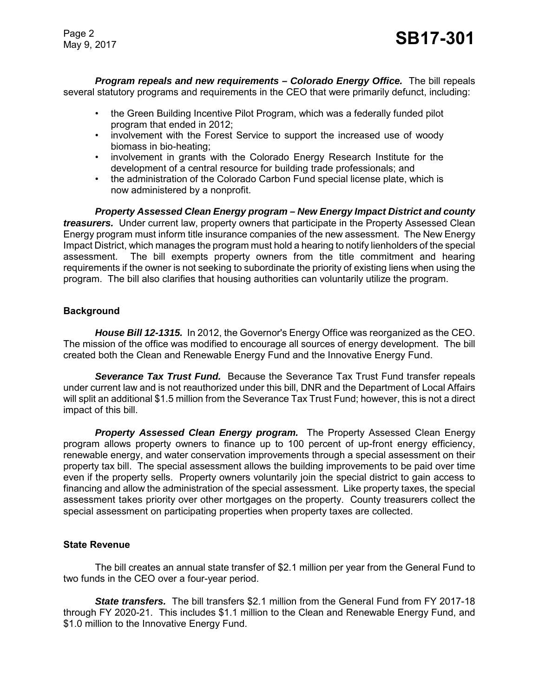Page 2

*Program repeals and new requirements – Colorado Energy Office.* The bill repeals several statutory programs and requirements in the CEO that were primarily defunct, including:

- the Green Building Incentive Pilot Program, which was a federally funded pilot program that ended in 2012;
- involvement with the Forest Service to support the increased use of woody biomass in bio-heating;
- involvement in grants with the Colorado Energy Research Institute for the development of a central resource for building trade professionals; and
- the administration of the Colorado Carbon Fund special license plate, which is now administered by a nonprofit.

*Property Assessed Clean Energy program – New Energy Impact District and county treasurers.* Under current law, property owners that participate in the Property Assessed Clean Energy program must inform title insurance companies of the new assessment. The New Energy Impact District, which manages the program must hold a hearing to notify lienholders of the special assessment. The bill exempts property owners from the title commitment and hearing requirements if the owner is not seeking to subordinate the priority of existing liens when using the program. The bill also clarifies that housing authorities can voluntarily utilize the program.

#### **Background**

*House Bill 12-1315.* In 2012, the Governor's Energy Office was reorganized as the CEO. The mission of the office was modified to encourage all sources of energy development. The bill created both the Clean and Renewable Energy Fund and the Innovative Energy Fund.

*Severance Tax Trust Fund.* Because the Severance Tax Trust Fund transfer repeals under current law and is not reauthorized under this bill, DNR and the Department of Local Affairs will split an additional \$1.5 million from the Severance Tax Trust Fund; however, this is not a direct impact of this bill.

*Property Assessed Clean Energy program.* The Property Assessed Clean Energy program allows property owners to finance up to 100 percent of up-front energy efficiency, renewable energy, and water conservation improvements through a special assessment on their property tax bill. The special assessment allows the building improvements to be paid over time even if the property sells. Property owners voluntarily join the special district to gain access to financing and allow the administration of the special assessment. Like property taxes, the special assessment takes priority over other mortgages on the property. County treasurers collect the special assessment on participating properties when property taxes are collected.

# **State Revenue**

The bill creates an annual state transfer of \$2.1 million per year from the General Fund to two funds in the CEO over a four-year period.

*State transfers.* The bill transfers \$2.1 million from the General Fund from FY 2017-18 through FY 2020-21. This includes \$1.1 million to the Clean and Renewable Energy Fund, and \$1.0 million to the Innovative Energy Fund.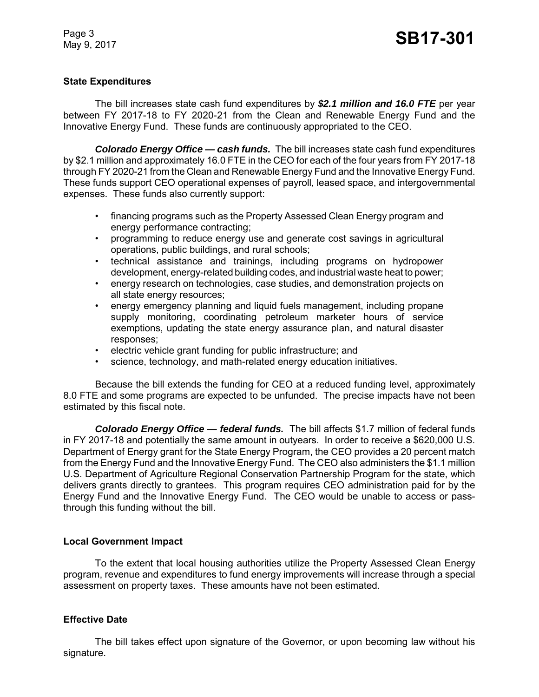Page 3

#### **State Expenditures**

The bill increases state cash fund expenditures by *\$2.1 million and 16.0 FTE* per year between FY 2017-18 to FY 2020-21 from the Clean and Renewable Energy Fund and the Innovative Energy Fund. These funds are continuously appropriated to the CEO.

*Colorado Energy Office — cash funds.* The bill increases state cash fund expenditures by \$2.1 million and approximately 16.0 FTE in the CEO for each of the four years from FY 2017-18 through FY 2020-21 from the Clean and Renewable Energy Fund and the Innovative Energy Fund. These funds support CEO operational expenses of payroll, leased space, and intergovernmental expenses. These funds also currently support:

- financing programs such as the Property Assessed Clean Energy program and energy performance contracting;
- programming to reduce energy use and generate cost savings in agricultural operations, public buildings, and rural schools;
- technical assistance and trainings, including programs on hydropower development, energy-related building codes, and industrial waste heat to power;
- energy research on technologies, case studies, and demonstration projects on all state energy resources;
- energy emergency planning and liquid fuels management, including propane supply monitoring, coordinating petroleum marketer hours of service exemptions, updating the state energy assurance plan, and natural disaster responses;
- electric vehicle grant funding for public infrastructure; and
- science, technology, and math-related energy education initiatives.

Because the bill extends the funding for CEO at a reduced funding level, approximately 8.0 FTE and some programs are expected to be unfunded. The precise impacts have not been estimated by this fiscal note.

*Colorado Energy Office — federal funds.* The bill affects \$1.7 million of federal funds in FY 2017-18 and potentially the same amount in outyears. In order to receive a \$620,000 U.S. Department of Energy grant for the State Energy Program, the CEO provides a 20 percent match from the Energy Fund and the Innovative Energy Fund. The CEO also administers the \$1.1 million U.S. Department of Agriculture Regional Conservation Partnership Program for the state, which delivers grants directly to grantees. This program requires CEO administration paid for by the Energy Fund and the Innovative Energy Fund. The CEO would be unable to access or passthrough this funding without the bill.

# **Local Government Impact**

To the extent that local housing authorities utilize the Property Assessed Clean Energy program, revenue and expenditures to fund energy improvements will increase through a special assessment on property taxes. These amounts have not been estimated.

# **Effective Date**

The bill takes effect upon signature of the Governor, or upon becoming law without his signature.